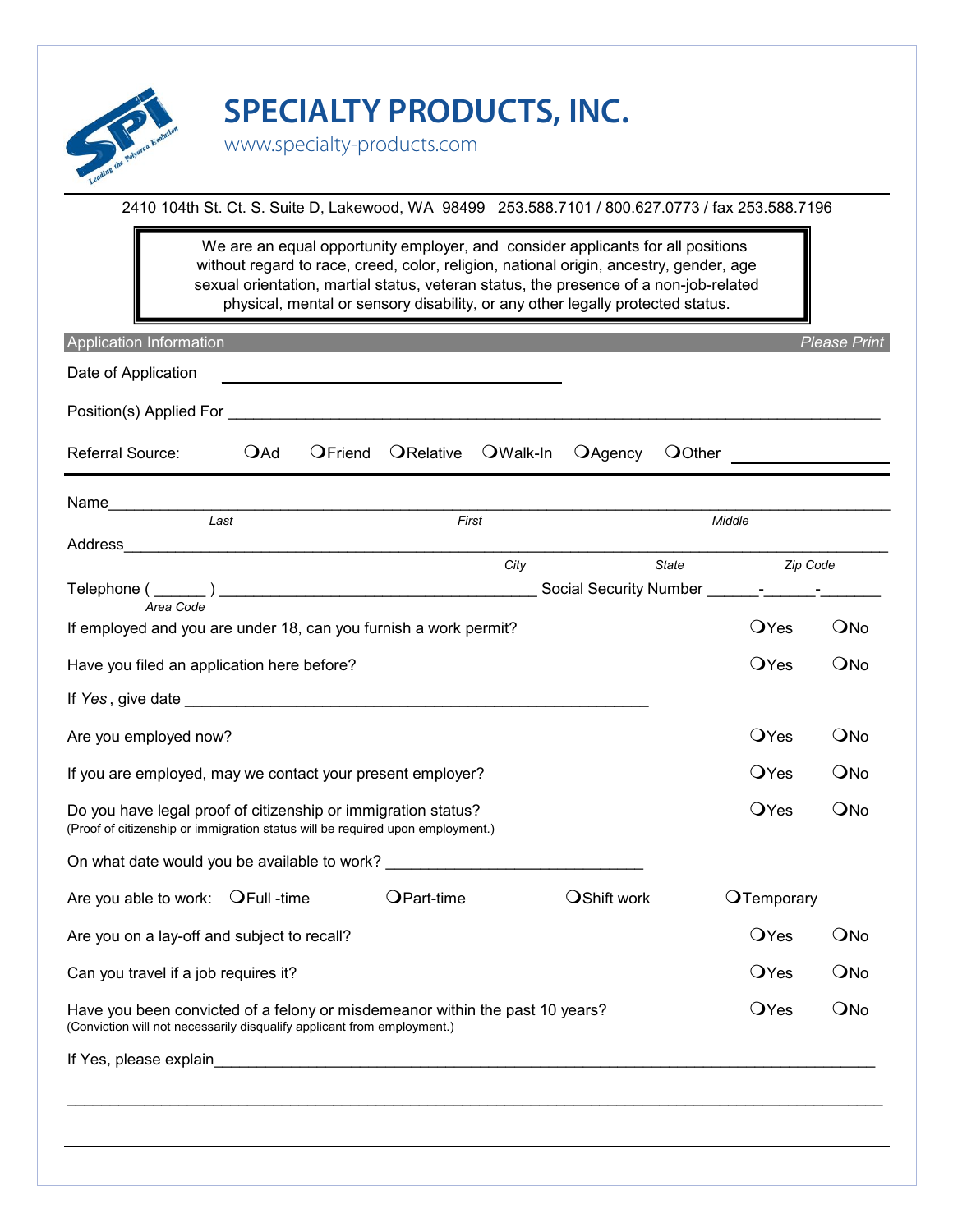

**SPECIALTY PRODUCTS, INC.**

www.specialty-products.com

2410 104th St. Ct. S. Suite D, Lakewood, WA 98499 253.588.7101 / 800.627.0773 / fax 253.588.7196

physical, mental or sensory disability, or any other legally protected status. sexual orientation, martial status, veteran status, the presence of a non-job-related We are an equal opportunity employer, and consider applicants for all positions without regard to race, creed, color, religion, national origin, ancestry, gender, age

| Application Information                                                                                                                                                                                                             |     |         |            |          |             |              |              | <b>Please Print</b> |
|-------------------------------------------------------------------------------------------------------------------------------------------------------------------------------------------------------------------------------------|-----|---------|------------|----------|-------------|--------------|--------------|---------------------|
| Date of Application                                                                                                                                                                                                                 |     |         |            |          |             |              |              |                     |
| Position(s) Applied For                                                                                                                                                                                                             |     |         |            |          |             |              |              |                     |
| Referral Source:                                                                                                                                                                                                                    | OAd | OFriend | ORelative  | OWalk-In | OAgency     |              |              |                     |
| Name<br>Last                                                                                                                                                                                                                        |     |         |            |          |             |              |              |                     |
|                                                                                                                                                                                                                                     |     |         | First      |          |             |              | Middle       |                     |
|                                                                                                                                                                                                                                     |     |         |            | City     |             | <b>State</b> |              | Zip Code            |
|                                                                                                                                                                                                                                     |     |         |            |          |             |              |              |                     |
| If employed and you are under 18, can you furnish a work permit?                                                                                                                                                                    |     |         |            |          |             |              | <b>O</b> Yes | QNo                 |
| Have you filed an application here before?                                                                                                                                                                                          |     |         |            |          |             |              | <b>O</b> Yes | QNo                 |
| If Yes, give date <b>All Accepted Accepts</b> and the series of the series of the series of the series of the series of the series of the series of the series of the series of the series of the series of the series of the serie |     |         |            |          |             |              |              |                     |
| Are you employed now?                                                                                                                                                                                                               |     |         |            |          |             |              | <b>O</b> Yes | QNo                 |
| If you are employed, may we contact your present employer?                                                                                                                                                                          |     |         |            |          |             |              | <b>O</b> Yes | QNo                 |
| Do you have legal proof of citizenship or immigration status?<br>(Proof of citizenship or immigration status will be required upon employment.)                                                                                     |     |         |            |          |             |              | <b>O</b> Yes | ONo                 |
| On what date would you be available to work?                                                                                                                                                                                        |     |         |            |          |             |              |              |                     |
| Are you able to work: $QFull$ -time                                                                                                                                                                                                 |     |         | OPart-time |          | OShift work |              | OTemporary   |                     |
| Are you on a lay-off and subject to recall?                                                                                                                                                                                         |     |         |            |          |             |              | <b>O</b> Yes | QNo                 |
| Can you travel if a job requires it?                                                                                                                                                                                                |     |         |            |          |             |              | <b>O</b> Yes | QNo                 |
| Have you been convicted of a felony or misdemeanor within the past 10 years?<br>(Conviction will not necessarily disqualify applicant from employment.)                                                                             |     |         |            |          |             |              | <b>O</b> Yes | QNo                 |
| If Yes, please explain <b>All Accords</b> and Accords and Accords and Accords and Accords and Accords and Accords and Accords and Accords and Accords and Accords and Accords and Accords and Accords and Accords and Accords and A |     |         |            |          |             |              |              |                     |
|                                                                                                                                                                                                                                     |     |         |            |          |             |              |              |                     |
|                                                                                                                                                                                                                                     |     |         |            |          |             |              |              |                     |
|                                                                                                                                                                                                                                     |     |         |            |          |             |              |              |                     |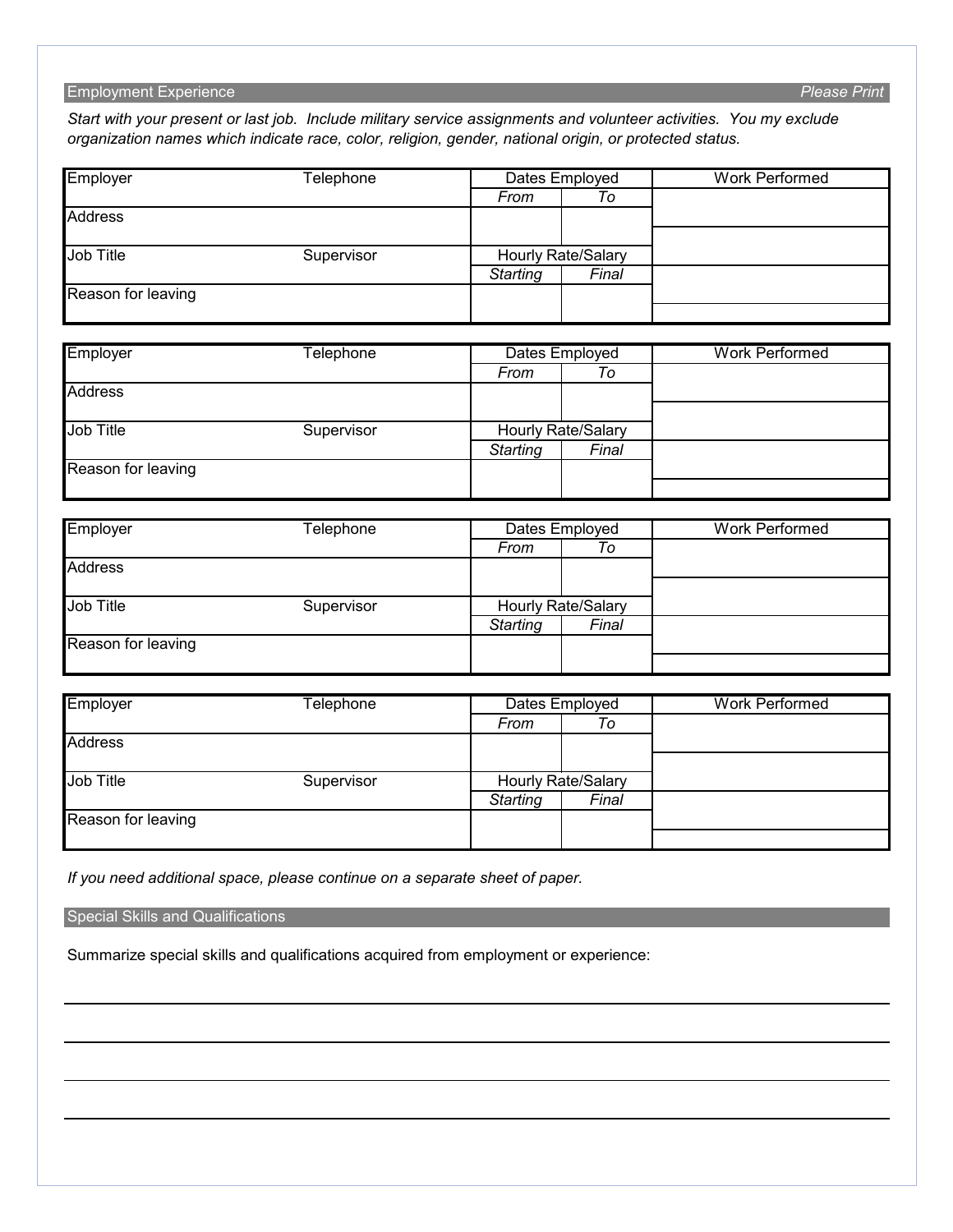### Employment Experience *Please Print*

*Start with your present or last job. Include military service assignments and volunteer activities. You my exclude organization names which indicate race, color, religion, gender, national origin, or protected status.*

| Employer           | Telephone        |                           | Dates Employed            | <b>Work Performed</b> |  |
|--------------------|------------------|---------------------------|---------------------------|-----------------------|--|
|                    |                  | From                      | To                        |                       |  |
| <b>Address</b>     |                  |                           |                           |                       |  |
|                    |                  |                           |                           |                       |  |
| <b>Job Title</b>   | Supervisor       | Hourly Rate/Salary        |                           |                       |  |
|                    |                  | <b>Starting</b>           | Final                     |                       |  |
| Reason for leaving |                  |                           |                           |                       |  |
|                    |                  |                           |                           |                       |  |
| Employer           | <b>Telephone</b> |                           | Dates Employed            | <b>Work Performed</b> |  |
|                    |                  | From                      | To                        |                       |  |
| <b>Address</b>     |                  |                           |                           |                       |  |
| <b>Job Title</b>   | Supervisor       |                           | Hourly Rate/Salary        |                       |  |
|                    |                  | <b>Starting</b>           | Final                     |                       |  |
| Reason for leaving |                  |                           |                           |                       |  |
|                    |                  |                           |                           |                       |  |
| Employer           | <b>Telephone</b> | Dates Employed            |                           | <b>Work Performed</b> |  |
|                    |                  | From                      | To                        |                       |  |
| <b>Address</b>     |                  |                           |                           |                       |  |
| Job Title          | Supervisor       | <b>Hourly Rate/Salary</b> |                           |                       |  |
|                    |                  | <b>Starting</b>           | Final                     |                       |  |
| Reason for leaving |                  |                           |                           |                       |  |
|                    |                  |                           |                           |                       |  |
| Employer           | Telephone        | Dates Employed            |                           | <b>Work Performed</b> |  |
|                    |                  | From                      | $\overline{To}$           |                       |  |
| <b>Address</b>     |                  |                           |                           |                       |  |
| <b>Job Title</b>   | Supervisor       |                           | <b>Hourly Rate/Salary</b> |                       |  |
|                    |                  | <b>Starting</b>           | Final                     |                       |  |

*If you need additional space, please continue on a separate sheet of paper.*

Special Skills and Qualifications

Reason for leaving

Summarize special skills and qualifications acquired from employment or experience: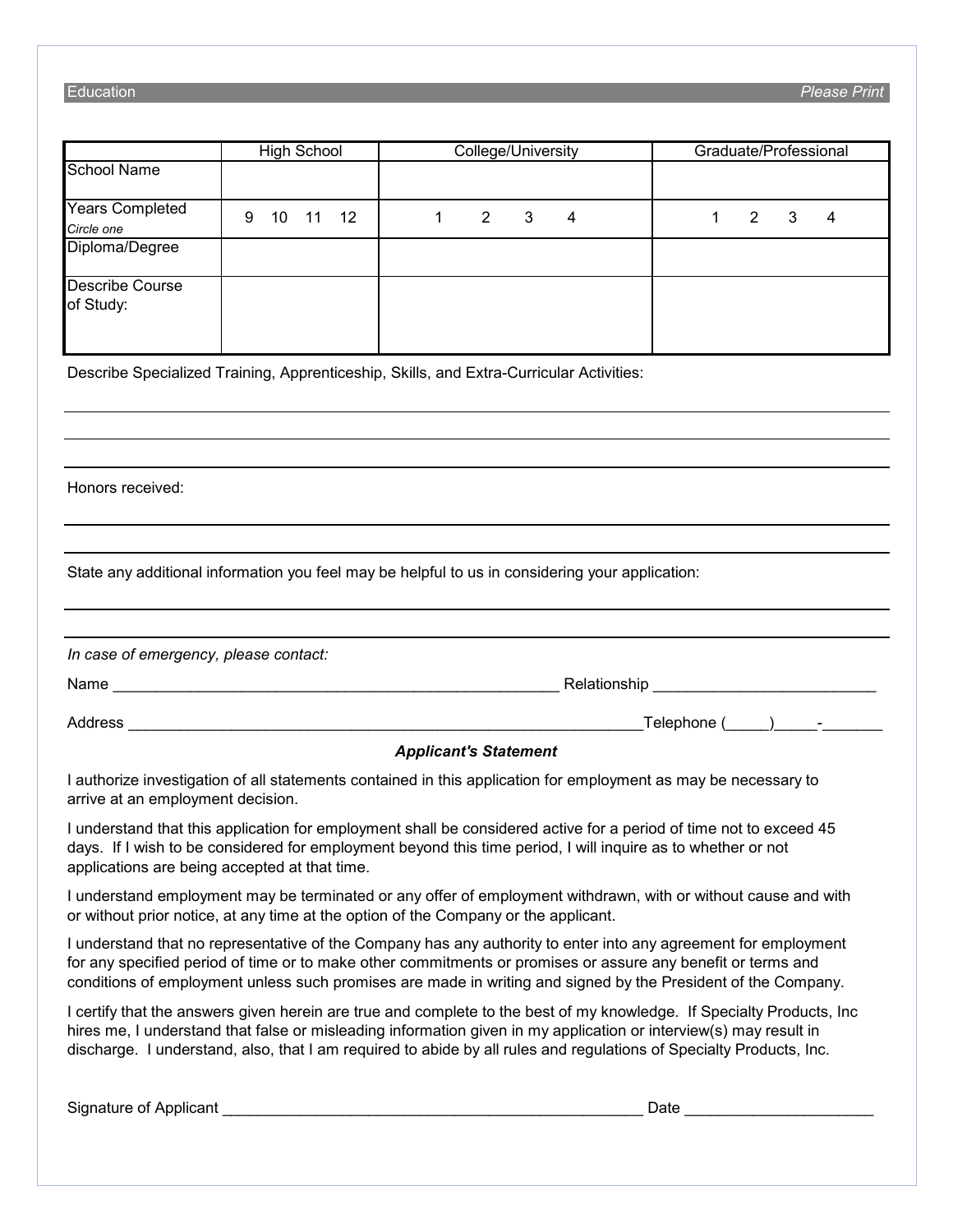#### Education *Please Print*

|                              | <b>High School</b> | College/University | Graduate/Professional |  |  |
|------------------------------|--------------------|--------------------|-----------------------|--|--|
| School Name                  |                    |                    |                       |  |  |
| Years Completed              | 11 12<br>9<br>10   | 2<br>3<br>4        | 2<br>3<br>4           |  |  |
| Circle one                   |                    |                    |                       |  |  |
| Diploma/Degree               |                    |                    |                       |  |  |
| Describe Course<br>of Study: |                    |                    |                       |  |  |

Describe Specialized Training, Apprenticeship, Skills, and Extra-Curricular Activities:

Honors received:

State any additional information you feel may be helpful to us in considering your application:

| In case of emergency, please contact: |                                                  |
|---------------------------------------|--------------------------------------------------|
| Name                                  | Relationship                                     |
| Address                               | Telephone (<br>the company of the company of the |

#### *Applicant's Statement*

I authorize investigation of all statements contained in this application for employment as may be necessary to arrive at an employment decision.

I understand that this application for employment shall be considered active for a period of time not to exceed 45 days. If I wish to be considered for employment beyond this time period, I will inquire as to whether or not applications are being accepted at that time.

I understand employment may be terminated or any offer of employment withdrawn, with or without cause and with or without prior notice, at any time at the option of the Company or the applicant.

I understand that no representative of the Company has any authority to enter into any agreement for employment for any specified period of time or to make other commitments or promises or assure any benefit or terms and conditions of employment unless such promises are made in writing and signed by the President of the Company.

I certify that the answers given herein are true and complete to the best of my knowledge. If Specialty Products, Inc hires me, I understand that false or misleading information given in my application or interview(s) may result in discharge. I understand, also, that I am required to abide by all rules and regulations of Specialty Products, Inc.

Signature of Applicant **Exercise 2.2 Signature of Applicant**